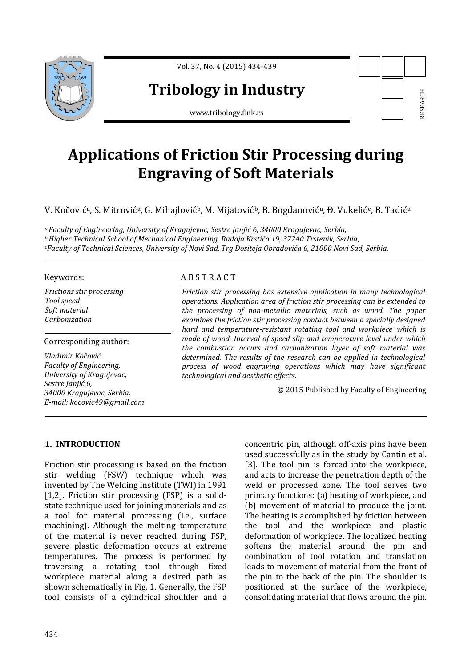

Vol. 37, No. 4 (2015) 434-439

# **Tribology in Industry**

www.tribology.fink.rs

# **Applications of Friction Stir Processing during Engraving of Soft Materials**

V. Kočovićª, S. Mitrovićª, G. Mihajlovićʰ, M. Mijatovićʰ, B. Bogdanovićª, Đ. Vukelić¢, B. Tadićª

*<sup>a</sup> Faculty of Engineering, University of Kragujevac, Sestre Janjić 6, 34000 Kragujevac, Serbia, <sup>b</sup>Higher Technical School of Mechanical Engineering, Radoja Krstića 19, 37240 Trstenik, Serbia, <sup>c</sup>Faculty of Technical Sciences, University of Novi Sad, Trg Dositeja Obradovića 6, 21000 Novi Sad, Serbia.*

#### Keywords:

*Frictions stir processing Tool speed Soft material Carbonization*

#### Corresponding author:

*Vladimir Kočović Faculty of Engineering, University of Kragujevac, Sestre Janjić 6, 34000 Kragujevac, Serbia. E-mail: kocovic49@gmail.com*

## A B S T R A C T

*Friction stir processing has extensive application in many technological operations. Application area of friction stir processing can be extended to the processing of non-metallic materials, such as wood. The paper examines the friction stir processing contact between a specially designed hard and temperature-resistant rotating tool and workpiece which is made of wood. Interval of speed slip and temperature level under which the combustion occurs and carbonization layer of soft material was determined. The results of the research can be applied in technological process of wood engraving operations which may have significant technological and aesthetic effects.*

© 2015 Published by Faculty of Engineering

## **1. INTRODUCTION**

Friction stir processing is based on the friction stir welding (FSW) technique which was invented by The Welding Institute (TWI) in 1991 [1,2]. Friction stir processing (FSP) is a solidstate technique used for joining materials and as a tool for material processing (i.e., surface machining). Although the melting temperature of the material is never reached during FSP, severe plastic deformation occurs at extreme temperatures. The process is performed by traversing a rotating tool through fixed workpiece material along a desired path as shown schematically in Fig. 1. Generally, the FSP tool consists of a cylindrical shoulder and a concentric pin, although off-axis pins have been used successfully as in the study by Cantin et al. [3]. The tool pin is forced into the workpiece, and acts to increase the penetration depth of the weld or processed zone. The tool serves two primary functions: (a) heating of workpiece, and (b) movement of material to produce the joint. The heating is accomplished by friction between the tool and the workpiece and plastic deformation of workpiece. The localized heating softens the material around the pin and combination of tool rotation and translation leads to movement of material from the front of the pin to the back of the pin. The shoulder is positioned at the surface of the workpiece, **Example 12**<br> **Consolidation**<br> **Consolidation**<br> **Consolidation**<br> **Consolidation**<br> **Consolidation**<br> **Consolidation**<br> **Consolidation**<br> **Consolidation**<br> **Consolidation**<br> **Consolidation**<br> **Consolidation**<br> **Consolidation**<br> **Con**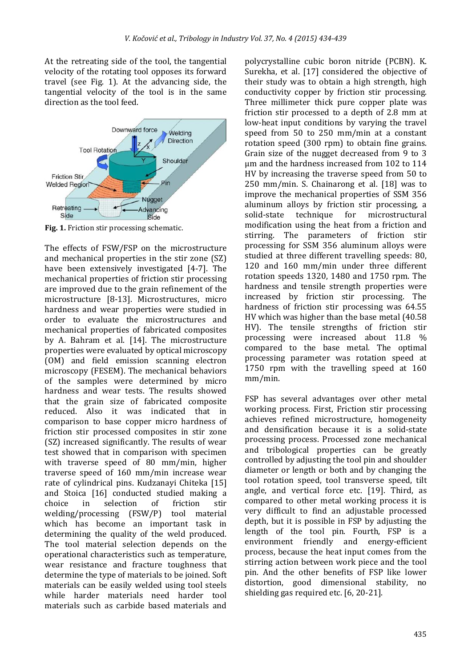At the retreating side of the tool, the tangential velocity of the rotating tool opposes its forward travel (see Fig. 1). At the advancing side, the tangential velocity of the tool is in the same direction as the tool feed.



**Fig. 1.** Friction stir processing schematic.

The effects of FSW/FSP on the microstructure and mechanical properties in the stir zone (SZ) have been extensively investigated [4-7]. The mechanical properties of friction stir processing are improved due to the grain refinement of the microstructure [8-13]. Microstructures, micro hardness and wear properties were studied in order to evaluate the microstructures and mechanical properties of fabricated composites by A. Bahram et al. [14]. The microstructure properties were evaluated by optical microscopy (OM) and field emission scanning electron microscopy (FESEM). The mechanical behaviors of the samples were determined by micro hardness and wear tests. The results showed that the grain size of fabricated composite reduced. Also it was indicated that in comparison to base copper micro hardness of friction stir processed composites in stir zone (SZ) increased significantly. The results of wear test showed that in comparison with specimen with traverse speed of 80 mm/min, higher traverse speed of 160 mm/min increase wear rate of cylindrical pins. Kudzanayi Chiteka [15] and Stoica [16] conducted studied making a choice in selection of friction stir welding/processing (FSW/P) tool material which has become an important task in determining the quality of the weld produced. The tool material selection depends on the operational characteristics such as temperature, wear resistance and fracture toughness that determine the type of materials to be joined. Soft materials can be easily welded using tool steels while harder materials need harder tool materials such as carbide based materials and

polycrystalline cubic boron nitride (PCBN). K. Surekha, et al. [17] considered the objective of their study was to obtain a high strength, high conductivity copper by friction stir processing. Three millimeter thick pure copper plate was friction stir processed to a depth of 2.8 mm at low-heat input conditions by varying the travel speed from 50 to 250 mm/min at a constant rotation speed (300 rpm) to obtain fine grains. Grain size of the nugget decreased from 9 to 3 μm and the hardness increased from 102 to 114 HV by increasing the traverse speed from 50 to 250 mm/min. S. Chainarong et al. [18] was to improve the mechanical properties of SSM 356 aluminum alloys by friction stir processing, a solid-state technique for microstructural modification using the heat from a friction and stirring. The parameters of friction stir processing for SSM 356 aluminum alloys were studied at three different travelling speeds: 80, 120 and 160 mm/min under three different rotation speeds 1320, 1480 and 1750 rpm. The hardness and tensile strength properties were increased by friction stir processing. The hardness of friction stir processing was 64.55 HV which was higher than the base metal (40.58 HV). The tensile strengths of friction stir processing were increased about 11.8 % compared to the base metal. The optimal processing parameter was rotation speed at 1750 rpm with the travelling speed at 160 mm/min.

FSP has several advantages over other metal working process. First, Friction stir processing achieves refined microstructure, homogeneity and densification because it is a solid-state processing process. Processed zone mechanical and tribological properties can be greatly controlled by adjusting the tool pin and shoulder diameter or length or both and by changing the tool rotation speed, tool transverse speed, tilt angle, and vertical force etc. [19]. Third, as compared to other metal working process it is very difficult to find an adjustable processed depth, but it is possible in FSP by adjusting the length of the tool pin. Fourth, FSP is a environment friendly and energy-efficient process, because the heat input comes from the stirring action between work piece and the tool pin. And the other benefits of FSP like lower distortion, good dimensional stability, no shielding gas required etc. [6, 20-21].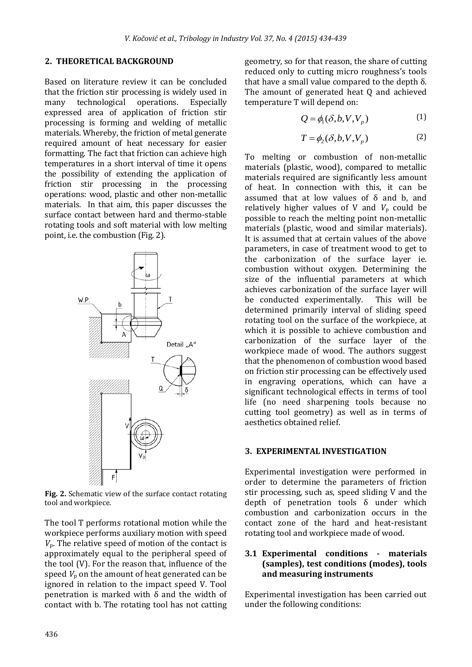#### **2. THEORETICAL BACKGROUND**

Based on literature review it can be concluded that the friction stir processing is widely used in many technological operations. Especially expressed area of application of friction stir processing is forming and welding of metallic materials. Whereby, the friction of metal generate required amount of heat necessary for easier formatting. The fact that friction can achieve high temperatures in a short interval of time it opens the possibility of extending the application of friction stir processing in the processing operations: wood, plastic and other non-metallic materials. In that aim, this paper discusses the surface contact between hard and thermo-stable rotating tools and soft material with low melting point, i.e. the combustion (Fig. 2).



**Fig. 2.** Schematic view of the surface contact rotating tool and workpiece.

The tool T performs rotational motion while the workpiece performs auxiliary motion with speed  $V_p$ . The relative speed of motion of the contact is approximately equal to the peripheral speed of the tool (V). For the reason that, influence of the speed  $V_p$  on the amount of heat generated can be ignored in relation to the impact speed V. Tool penetration is marked with δ and the width of contact with b. The rotating tool has not catting geometry, so for that reason, the share of cutting reduced only to cutting micro roughness's tools that have a small value compared to the depth  $δ$ . The amount of generated heat Q and achieved temperature T will depend on:

$$
Q = \phi_1(\delta, b, V, V_p) \tag{1}
$$

$$
T = \phi_2(\delta, b, V, V_p) \tag{2}
$$

To melting or combustion of non-metallic materials (plastic, wood), compared to metallic materials required are significantly less amount of heat. In connection with this, it can be assumed that at low values of  $\delta$  and b, and relatively higher values of V and  $V_p$  could be possible to reach the melting point non-metallic materials (plastic, wood and similar materials). It is assumed that at certain values of the above parameters, in case of treatment wood to get to the carbonization of the surface layer ie. combustion without oxygen. Determining the size of the influential parameters at which achieves carbonization of the surface layer will be conducted experimentally. This will be determined primarily interval of sliding speed rotating tool on the surface of the workpiece, at which it is possible to achieve combustion and carbonization of the surface layer of the workpiece made of wood. The authors suggest that the phenomenon of combustion wood based on friction stir processing can be effectively used in engraving operations, which can have a significant technological effects in terms of tool life (no need sharpening tools because no cutting tool geometry) as well as in terms of aesthetics obtained relief.

#### **3. EXPERIMENTAL INVESTIGATION**

Experimental investigation were performed in order to determine the parameters of friction stir processing, such as, speed sliding V and the depth of penetration tools δ under which combustion and carbonization occurs in the contact zone of the hard and heat-resistant rotating tool and workpiece made of wood.

#### **3.1 Experimental conditions - materials (samples), test conditions (modes), tools and measuring instruments**

Experimental investigation has been carried out under the following conditions: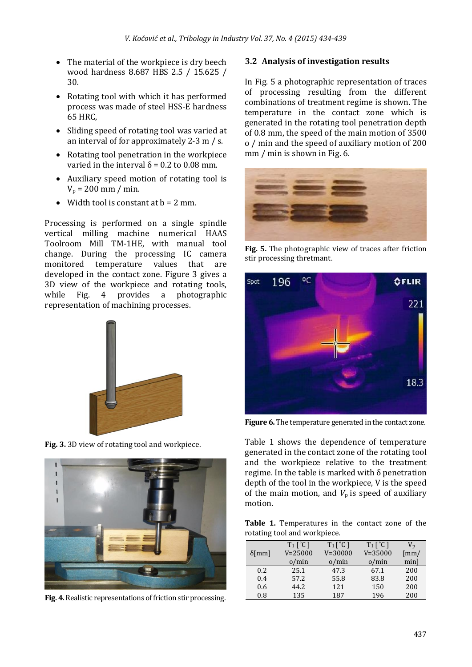- The material of the workpiece is dry beech wood hardness 8.687 HBS 2.5 / 15.625 / 30.
- Rotating tool with which it has performed process was made of steel HSS-E hardness 65 HRC,
- Sliding speed of rotating tool was varied at an interval of for approximately 2-3 m / s.
- Rotating tool penetration in the workpiece varied in the interval  $δ = 0.2$  to 0.08 mm.
- Auxiliary speed motion of rotating tool is  $V_p = 200$  mm / min.
- Width tool is constant at  $b = 2$  mm.

Processing is performed on a single spindle vertical milling machine numerical HAAS Toolroom Mill TM-1HE, with manual tool change. During the processing IC camera monitored temperature values that are developed in the contact zone. Figure 3 gives a 3D view of the workpiece and rotating tools, while Fig. 4 provides a photographic representation of machining processes.



**Fig. 3.** 3D view of rotating tool and workpiece.



**Fig. 4.**Realistic representations of friction stir processing.

### **3.2 Analysis of investigation results**

In Fig. 5 a photographic representation of traces of processing resulting from the different combinations of treatment regime is shown. The temperature in the contact zone which is generated in the rotating tool penetration depth of 0.8 mm, the speed of the main motion of 3500 o / min and the speed of auxiliary motion of 200 mm / min is shown in Fig. 6.



**Fig. 5.** The photographic view of traces after friction stir processing thretmant.



**Figure 6.** The temperature generated in the contact zone.

Table 1 shows the dependence of temperature generated in the contact zone of the rotating tool and the workpiece relative to the treatment regime. In the table is marked with δ penetration depth of the tool in the workpiece, V is the speed of the main motion, and  $V_p$  is speed of auxiliary motion.

**Table 1.** Temperatures in the contact zone of the rotating tool and workpiece.

|                  | $T_1$ $\lceil$ $\circ$ $C$ $\rceil$ | $T_1$ $\lceil$ $\lceil$ $\lceil$ | $T_1$ $\lceil$ $\circ$ $C$ $\rceil$ | $V_{\rm p}$              |
|------------------|-------------------------------------|----------------------------------|-------------------------------------|--------------------------|
| $\delta$ [mm]    | $V = 25000$                         | $V = 30000$                      | $V = 35000$                         | $\left[\text{mm}\right]$ |
|                  | o/min                               | o/min                            | o/min                               | minl                     |
| 0.2 <sub>1</sub> | 25.1                                | 47.3                             | 67.1                                | 200                      |
| 0.4              | 57.2                                | 55.8                             | 83.8                                | 200                      |
| 0.6              | 44.2                                | 121                              | 150                                 | 200                      |
| 0.8              | 135                                 | 187                              | 196                                 | 200                      |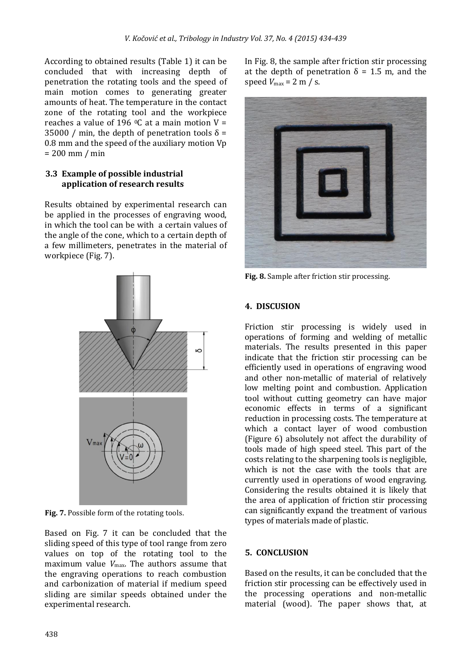According to obtained results (Table 1) it can be concluded that with increasing depth of penetration the rotating tools and the speed of main motion comes to generating greater amounts of heat. The temperature in the contact zone of the rotating tool and the workpiece reaches a value of 196  $\degree$ C at a main motion V = 35000 / min, the depth of penetration tools  $\delta$  = 0.8 mm and the speed of the auxiliary motion Vp = 200 mm / min

### **3.3 Example of possible industrial application of research results**

Results obtained by experimental research can be applied in the processes of engraving wood, in which the tool can be with a certain values of the angle of the cone, which to a certain depth of a few millimeters, penetrates in the material of workpiece (Fig. 7).



**Fig. 7.** Possible form of the rotating tools.

Based on Fig. 7 it can be concluded that the sliding speed of this type of tool range from zero values on top of the rotating tool to the maximum value  $V_{\text{max}}$ . The authors assume that the engraving operations to reach combustion and carbonization of material if medium speed sliding are similar speeds obtained under the experimental research.

In Fig. 8, the sample after friction stir processing at the depth of penetration  $\delta = 1.5$  m, and the speed  $V_{\text{max}} = 2 \text{ m } / \text{s}$ .



**Fig. 8.** Sample after friction stir processing.

### **4. DISCUSION**

Friction stir processing is widely used in operations of forming and welding of metallic materials. The results presented in this paper indicate that the friction stir processing can be efficiently used in operations of engraving wood and other non-metallic of material of relatively low melting point and combustion. Application tool without cutting geometry can have major economic effects in terms of a significant reduction in processing costs. The temperature at which a contact layer of wood combustion (Figure 6) absolutely not affect the durability of tools made of high speed steel. This part of the costs relating to the sharpening tools is negligible, which is not the case with the tools that are currently used in operations of wood engraving. Considering the results obtained it is likely that the area of application of friction stir processing can significantly expand the treatment of various types of materials made of plastic.

#### **5. CONCLUSION**

Based on the results, it can be concluded that the friction stir processing can be effectively used in the processing operations and non-metallic material (wood). The paper shows that, at